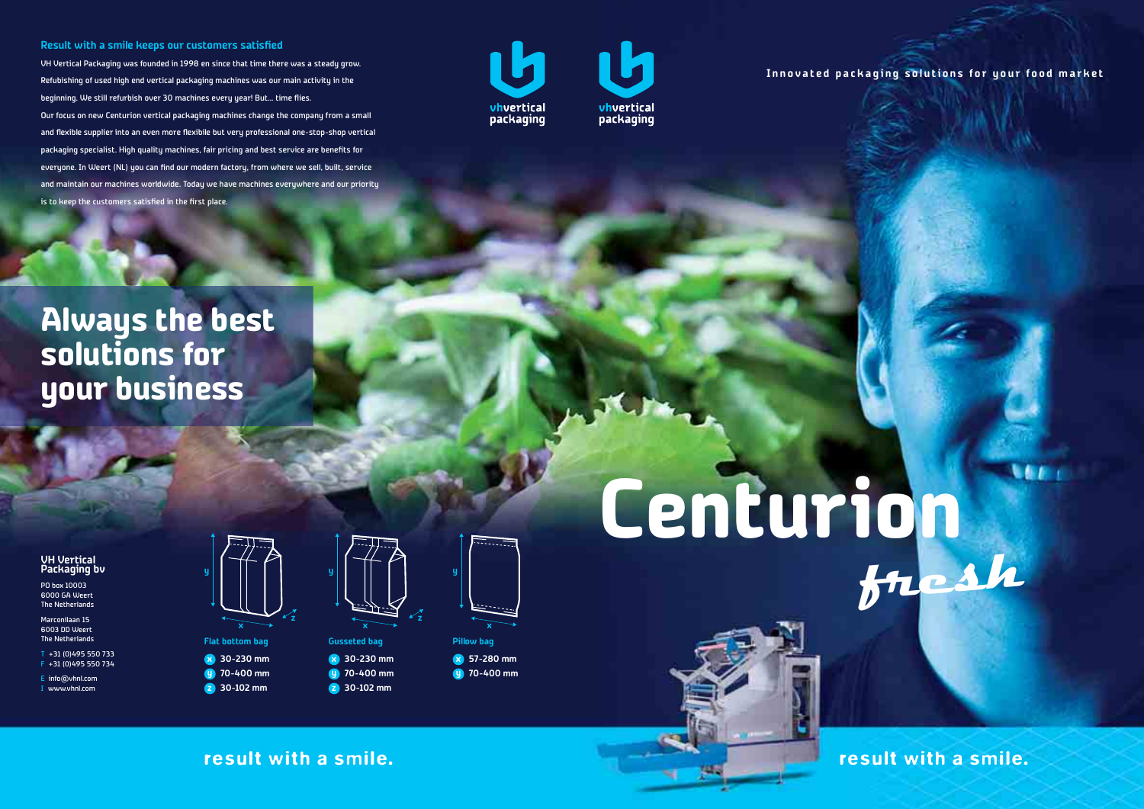result with a smile. result with a smile.

### **VH Vertical Packaging bv**

PO box 10003 6000 GA Weert The Netherlands

Marconilaan 15 6003 DD Weert The Netherlands

T +31 (0)495 550 733 F +31 (0)495 550 734

E info@vhnl.com

I www.vhnl.com

# **Centurion**

**fresh**

**NGE C** 

**Innovated packaging solutions for your food market**



**70-400 mm y 30-102 mm z**

**y**

**z**

**x 30-230 mm 70-400 mm y 30-102 mm z**



**z**

**x 57-280 mm y 70-400 mm**



### **Result with a smile keeps our customers satisfied**

VH Vertical Packaging was founded in 1998 en since that time there was a steady grow. Refubishing of used high end vertical packaging machines was our main activity in the beginning. We still refurbish over 30 machines every year! But… time flies. Our focus on new Centurion vertical packaging machines change the company from a small and flexible supplier into an even more flexibile but very professional one-stop-shop vertical packaging specialist. High quality machines, fair pricing and best service are benefits for everyone. In Weert (NL) you can find our modern factory, from where we sell, built, service and maintain our machines worldwide. Today we have machines everywhere and our priority is to keep the customers satisfied in the first place.





# **Always the best solutions for your business**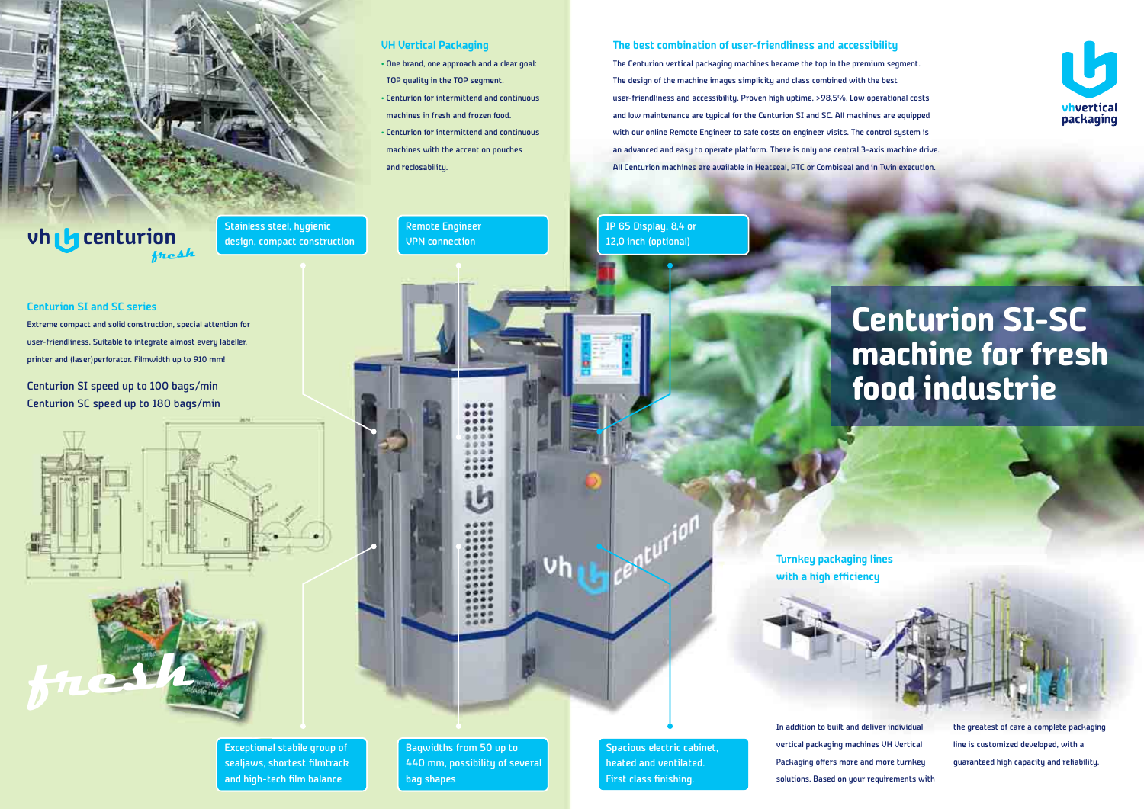# **The best combination of user-friendliness and accessibility**

The Centurion vertical packaging machines became the top in the premium segment. The design of the machine images simplicity and class combined with the best user-friendliness and accessibility. Proven high uptime, >98,5%. Low operational costs and low maintenance are typical for the Centurion SI and SC. All machines are equipped with our online Remote Engineer to safe costs on engineer visits. The control sustem is an advanced and easy to operate platform. There is only one central 3-axis machine drive. All Centurion machines are available in Heatseal, PTC or Combiseal and in Twin execution.

**VH Vertical Packaging** 

• One brand, one approach and a clear goal:

TOP quality in the TOP segment.

• Centurion for intermittend and continuous

machines in fresh and frozen food.

• Centurion for intermittend and continuous

machines with the accent on pouches

and reclosability.

# **Centurion SI and SC series**

Extreme compact and solid construction, special attention for user-friendliness. Suitable to integrate almost every labeller, printer and (laser)perforator. Filmwidth up to 910 mm!

Centurion SI speed up to 100 bags/min Centurion SC speed up to 180 bags/min

Stainless steel, hygienic design, compact construction Remote Engineer VPN connection

Exceptional stabile group of sealjaws, shortest filmtrack and high-tech film balance

Bagwidths from 50 up to 440 mm, possibility of several bag shapes

# IP 65 Display, 8,4 or 12,0 inch (optional)

# **Centurion SI-SC machine for fresh food industrie**

In addition to built and deliver individual vertical packaging machines VH Vertical Packaging offers more and more turnkey solutions. Based on your requirements with



the greatest of care a complete packaging line is customized developed, with a guaranteed high capacity and reliability.

**Turnkey packaging lines with a high efficiency**



Spacious electric cabinet, heated and ventilated. First class finishing.



# **centurion vhfresh**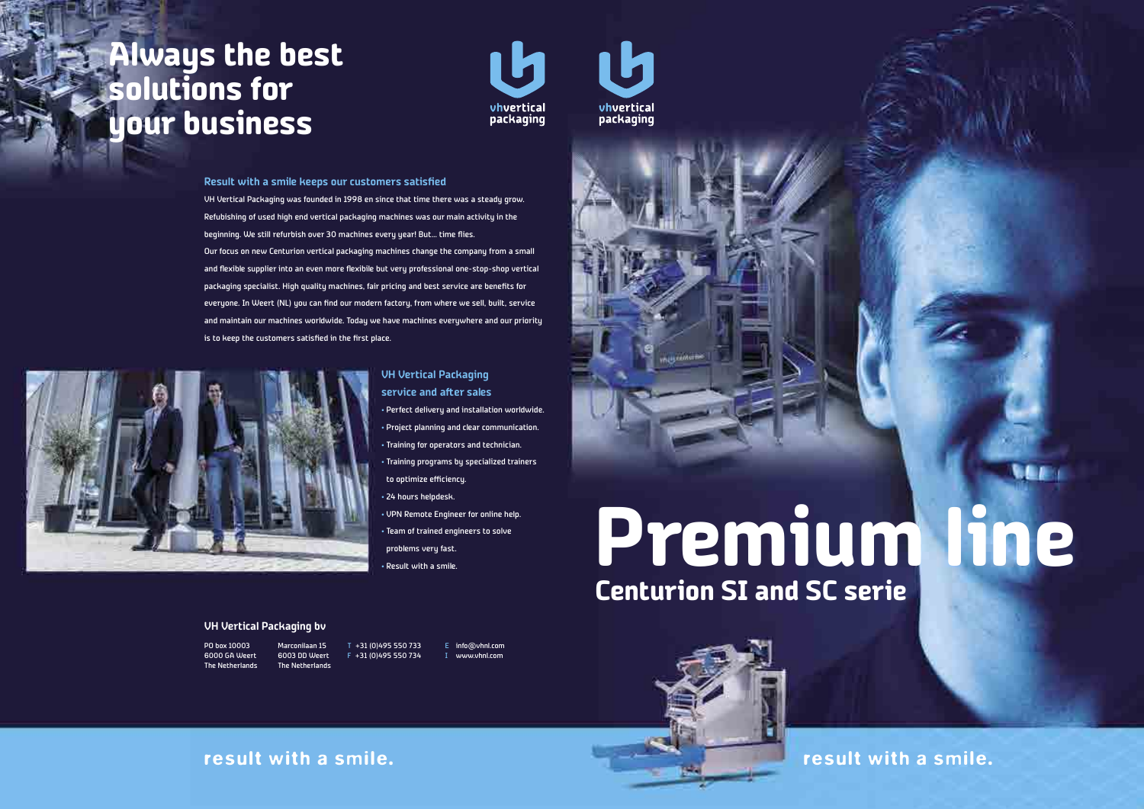# **Premium line Centurion SI and SC serie**



**NEE** 

### **Result with a smile keeps our customers satisfied**

VH Vertical Packaging was founded in 1998 en since that time there was a steady grow. Refubishing of used high end vertical packaging machines was our main activity in the beginning. We still refurbish over 30 machines every year! But… time flies. Our focus on new Centurion vertical packaging machines change the company from a small and flexible supplier into an even more flexibile but very professional one-stop-shop vertical packaging specialist. High quality machines, fair pricing and best service are benefits for everyone. In Weert (NL) you can find our modern factory, from where we sell, built, service and maintain our machines worldwide. Today we have machines everywhere and our priority is to keep the customers satisfied in the first place.



# **VH Vertical Packaging service and after sales**

• Perfect delivery and installation worldwide. • Project planning and clear communication. • Training for operators and technician. • Training programs by specialized trainers to optimize efficiency.

- 24 hours helpdesk.
- VPN Remote Engineer for online help. • Team of trained engineers to solve problems very fast.
- Result with a smile.

# **Always the best solutions for your business**



E info@vhnl.com I www.vhnl.com





PO box 10003 6000 GA Weert The Netherlands

Marconilaan 15 6003 DD Weert The Netherlands T +31 (0)495 550 733 F +31 (0)495 550 734

### **VH Vertical Packaging bv**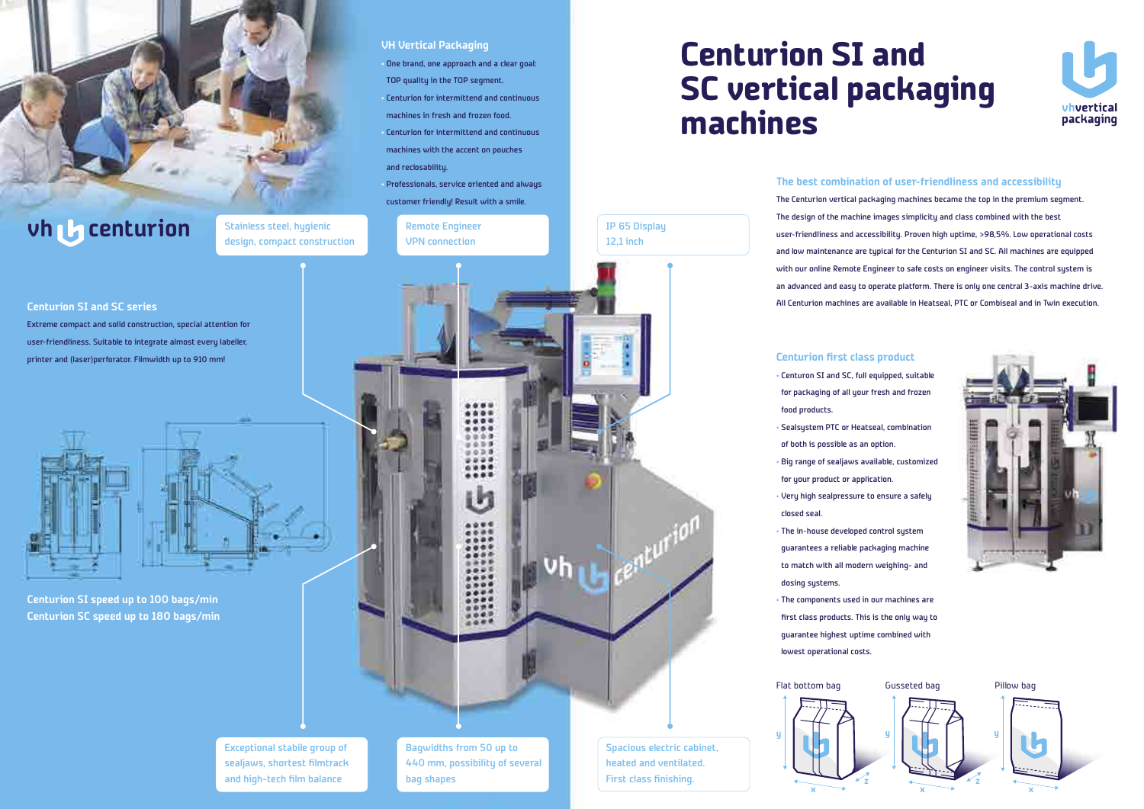**Centurion SI and SC vertical packaging machines**

# **The best combination of user-friendliness and accessibility**

The Centurion vertical packaging machines became the top in the premium segment. The design of the machine images simplicity and class combined with the best user-friendliness and accessibility. Proven high uptime, >98,5%. Low operational costs and low maintenance are typical for the Centurion SI and SC. All machines are equipped with our online Remote Engineer to safe costs on engineer visits. The control system is an advanced and easy to operate platform. There is only one central 3-axis machine drive. All Centurion machines are available in Heatseal, PTC or Combiseal and in Twin execution.

### **Centurion first class product**

- Centuron SI and SC, full equipped, suitable for packaging of all your fresh and frozen food products.
- Sealsystem PTC or Heatseal, combination of both is possible as an option.
- Big range of sealjaws available, customized
- for your product or application.
- Very high sealpressure to ensure a safely closed seal.
- The in-house developed control system guarantees a reliable packaging machine to match with all modern weighing- and dosing systems.
- The components used in our machines are first class products. This is the only way to guarantee highest uptime combined with lowest operational costs.

**VH Vertical Packaging** 

• One brand, one approach and a clear goal:

TOP quality in the TOP segment.

• Centurion for intermittend and continuous

machines in fresh and frozen food.

• Centurion for intermittend and continuous

machines with the accent on pouches

and reclosability.

• Professionals, service oriented and always

 $0.0.0.1$  $= 0.28$  $2.2.2.5$ ...

customer friendly! Result with a smile.



# **vh centurion**

### **Centurion SI and SC series**

Extreme compact and solid construction, special attention for user-friendliness. Suitable to integrate almost every labeller, printer and (laser)perforator. Filmwidth up to 910 mm!





**Centurion SI speed up to 100 bags/min Centurion SC speed up to 180 bags/min**

Stainless steel, hygienic design, compact construction Remote Engineer VPN connection



Bagwidths from 50 up to 440 mm, possibility of several bag shapes

IP 65 Display 12,1 inch

Spacious electric cabinet, heated and ventilated. First class finishing.





- 
- 
- 



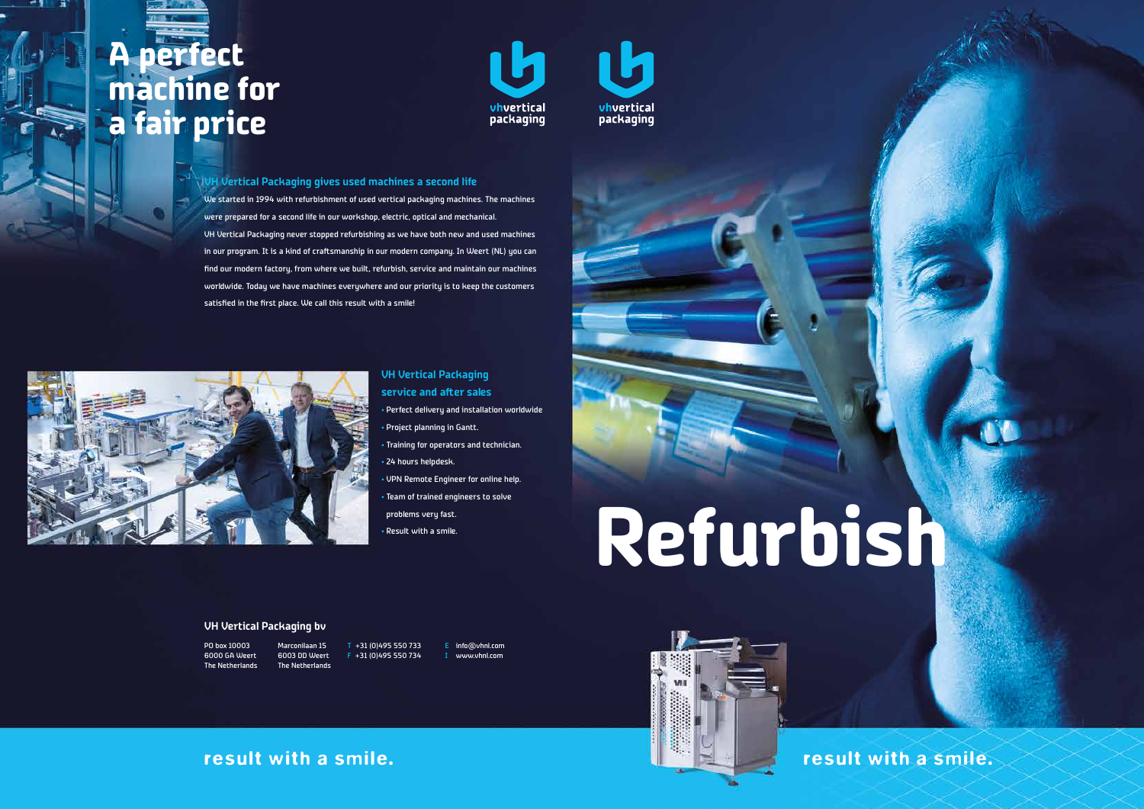



We started in 1994 with refurbishment of used vertical packaging machines. The machines were prepared for a second life in our workshop, electric, optical and mechanical. VH Vertical Packaging never stopped refurbishing as we have both new and used machines in our program. It is a kind of craftsmanship in our modern company. In Weert (NL) you can find our modern factory, from where we built, refurbish, service and maintain our machines worldwide. Today we have machines everywhere and our priority is to keep the customers satisfied in the first place. We call this result with a smile!



# **A perfect machine for a fair price**



E info@vhnl.com I www.vhnl.com



PO box 10003 6000 GA Weert The Netherlands

Marconilaan 15 6003 DD Weert The Netherlands T +31 (0)495 550 733 F +31 (0)495 550 734

### **VH Vertical Packaging bv**

# **VH Vertical Packaging service and after sales**

• Perfect delivery and installation worldwide • Project planning in Gantt. • Training for operators and technician. • 24 hours helpdesk. • VPN Remote Engineer for online help. • Team of trained engineers to solve problems very fast.

• Result with a smile.